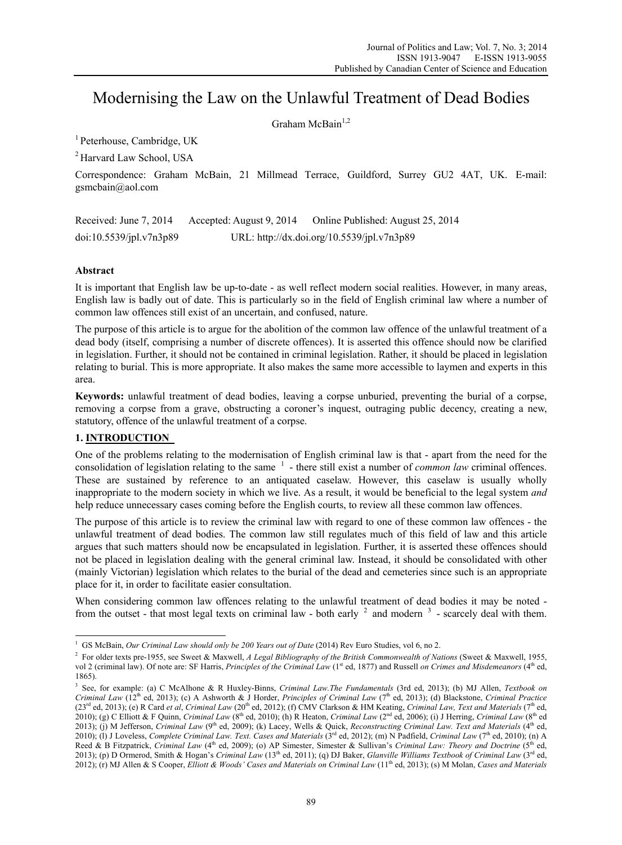# Modernising the Law on the Unlawful Treatment of Dead Bodies

Graham McBain<sup>1,2</sup>

<sup>1</sup> Peterhouse, Cambridge, UK

2 Harvard Law School, USA

Correspondence: Graham McBain, 21 Millmead Terrace, Guildford, Surrey GU2 4AT, UK. E-mail: gsmcbain@aol.com

Received: June 7, 2014 Accepted: August 9, 2014 Online Published: August 25, 2014 doi:10.5539/jpl.v7n3p89 URL: http://dx.doi.org/10.5539/jpl.v7n3p89

## **Abstract**

It is important that English law be up-to-date - as well reflect modern social realities. However, in many areas, English law is badly out of date. This is particularly so in the field of English criminal law where a number of common law offences still exist of an uncertain, and confused, nature.

The purpose of this article is to argue for the abolition of the common law offence of the unlawful treatment of a dead body (itself, comprising a number of discrete offences). It is asserted this offence should now be clarified in legislation. Further, it should not be contained in criminal legislation. Rather, it should be placed in legislation relating to burial. This is more appropriate. It also makes the same more accessible to laymen and experts in this area.

**Keywords:** unlawful treatment of dead bodies, leaving a corpse unburied, preventing the burial of a corpse, removing a corpse from a grave, obstructing a coroner's inquest, outraging public decency, creating a new, statutory, offence of the unlawful treatment of a corpse.

## **1. INTRODUCTION**

One of the problems relating to the modernisation of English criminal law is that - apart from the need for the consolidation of legislation relating to the same <sup>1</sup> - there still exist a number of *common law* criminal offences. These are sustained by reference to an antiquated caselaw. However, this caselaw is usually wholly inappropriate to the modern society in which we live. As a result, it would be beneficial to the legal system *and* help reduce unnecessary cases coming before the English courts, to review all these common law offences.

The purpose of this article is to review the criminal law with regard to one of these common law offences - the unlawful treatment of dead bodies. The common law still regulates much of this field of law and this article argues that such matters should now be encapsulated in legislation. Further, it is asserted these offences should not be placed in legislation dealing with the general criminal law. Instead, it should be consolidated with other (mainly Victorian) legislation which relates to the burial of the dead and cemeteries since such is an appropriate place for it, in order to facilitate easier consultation.

When considering common law offences relating to the unlawful treatment of dead bodies it may be noted from the outset - that most legal texts on criminal law - both early  $2$  and modern  $3$  - scarcely deal with them.

<sup>&</sup>lt;sup>1</sup> GS McBain, *Our Criminal Law should only be 200 Years out of Date* (2014) Rev Euro Studies, vol 6, no 2.<br><sup>2</sup> Ear older to the no. 1955, see Sweet & Moywell, A Legal Bibliography of the British Commonwealth of Nat

For older texts pre-1955, see Sweet & Maxwell, *A Legal Bibliography of the British Commonwealth of Nations* (Sweet & Maxwell, 1955, vol 2 (criminal law). Of note are: SF Harris, *Principles of the Criminal Law* (1<sup>st</sup> ed, 1877) and Russell *on Crimes and Misdemeanors* (4<sup>th</sup> ed, 1865).

<sup>3</sup> See, for example: (a) C McAlhone & R Huxley-Binns, *Criminal Law.The Fundamentals* (3rd ed, 2013); (b) MJ Allen, *Textbook on Criminal Law* (12<sup>th</sup> ed, 2013); (c) A Ashworth & J Horder, *Principles of Criminal Law* (7<sup>th</sup> ed, 2013); (d) Blackstone, *Criminal Practice* (23rd ed, 2013); (e) R Card *et al*, *Criminal Law* (20th ed, 2012); (f) CMV Clarkson & HM Keating, *Criminal Law, Text and Materials* (7th ed, 2010); (g) C Elliott & F Quinn, *Criminal Law* ( $8<sup>th</sup>$  ed, 2010); (h) R Heaton, *Criminal Law* ( $2<sup>nd</sup>$  ed, 2006); (i) J Herring, *Criminal Law* ( $8<sup>th</sup>$  ed 2013); (j) M Jefferson, *Criminal Law* (9<sup>th</sup> ed, 2009); (k) Lacey, Wells & Quick, *Reconstructing Criminal Law. Text and Materials* (4<sup>th</sup> ed, 2010); (l) J Loveless, *Complete Criminal Law. Text. Cases and Materials* (3rd ed, 2012); (m) N Padfield, *Criminal Law* (7th ed, 2010); (n) A Reed & B Fitzpatrick, *Criminal Law* (4<sup>th</sup> ed, 2009); (o) AP Simester, Simester & Sullivan's *Criminal Law: Theory and Doctrine* (5<sup>th</sup> ed, 2013); (p) D Ormerod, Smith & Hogan's *Criminal Law* (13<sup>th</sup> ed, 2011); (q) DJ Baker, *Glanville Williams Textbook of Criminal Law* (3<sup>rd</sup> ed, 2012); (r) MJ Allen & S Cooper, *Elliott & Woods' Cases and Materials on Criminal Law* (11th ed, 2013); (s) M Molan, *Cases and Materials*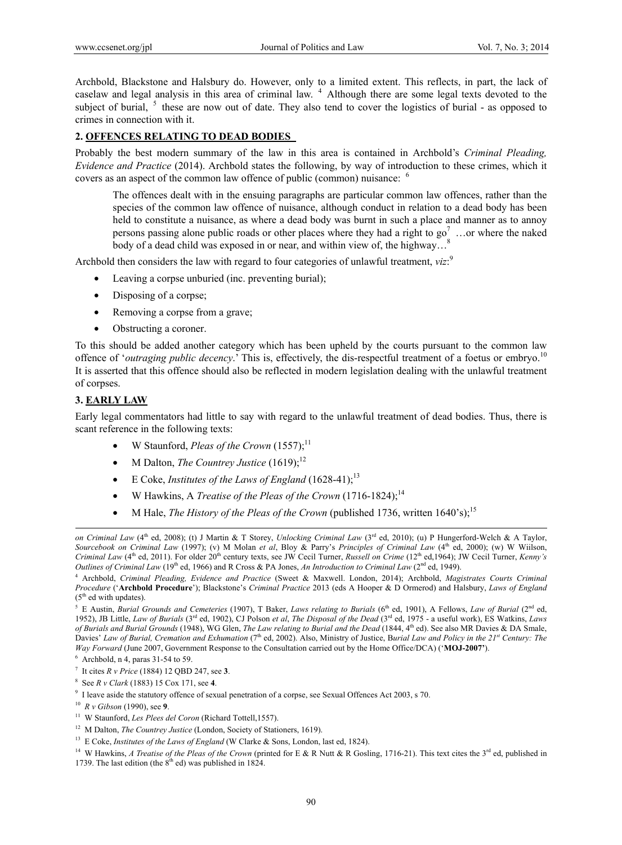Archbold, Blackstone and Halsbury do. However, only to a limited extent. This reflects, in part, the lack of caselaw and legal analysis in this area of criminal law. <sup>4</sup> Although there are some legal texts devoted to the subject of burial,  $5$  these are now out of date. They also tend to cover the logistics of burial - as opposed to crimes in connection with it.

## **2. OFFENCES RELATING TO DEAD BODIES**

Probably the best modern summary of the law in this area is contained in Archbold's *Criminal Pleading, Evidence and Practice* (2014). Archbold states the following, by way of introduction to these crimes, which it covers as an aspect of the common law offence of public (common) nuisance: <sup>6</sup>

The offences dealt with in the ensuing paragraphs are particular common law offences, rather than the species of the common law offence of nuisance, although conduct in relation to a dead body has been held to constitute a nuisance, as where a dead body was burnt in such a place and manner as to annoy persons passing alone public roads or other places where they had a right to  $g_0^7$  ... or where the naked body of a dead child was exposed in or near, and within view of, the highway...<sup>8</sup>

Archbold then considers the law with regard to four categories of unlawful treatment, *viz*: 9

- Leaving a corpse unburied (inc. preventing burial);
- Disposing of a corpse;
- Removing a corpse from a grave;
- Obstructing a coroner.

To this should be added another category which has been upheld by the courts pursuant to the common law offence of '*outraging public decency*.' This is, effectively, the dis-respectful treatment of a foetus or embryo.<sup>10</sup> It is asserted that this offence should also be reflected in modern legislation dealing with the unlawful treatment of corpses.

## **3. EARLY LAW**

 $\overline{a}$ 

Early legal commentators had little to say with regard to the unlawful treatment of dead bodies. Thus, there is scant reference in the following texts:

- W Staunford, *Pleas of the Crown*  $(1557)$ ;<sup>11</sup>
- M Dalton, *The Countrey Justice* (1619);<sup>12</sup>
- E Coke, *Institutes of the Laws of England* (1628-41);<sup>13</sup>
- W Hawkins, A *Treatise of the Pleas of the Crown* (1716-1824);<sup>14</sup>
- M Hale, *The History of the Pleas of the Crown* (published 1736, written 1640's);<sup>15</sup>

*on Criminal Law* (4<sup>th</sup> ed, 2008); (t) J Martin & T Storey, *Unlocking Criminal Law* (3<sup>rd</sup> ed, 2010); (u) P Hungerford-Welch & A Taylor, *Sourcebook on Criminal Law* (1997); (v) M Molan *et al*, Bloy & Parry's *Principles of Criminal Law* (4th ed, 2000); (w) W Wiilson, *Criminal Law* (4<sup>th</sup> ed, 2011). For older 20<sup>th</sup> century texts, see JW Cecil Turner, *Russell on Crime* (12<sup>th</sup> ed,1964); JW Cecil Turner, *Kenny's Outlines of Criminal Law* (19<sup>th</sup> ed, 1966) and R Cross & PA Jones, *An Introduction to Criminal Law* (2<sup>nd</sup> ed, 1949).

Archbold, *Criminal Pleading, Evidence and Practice* (Sweet & Maxwell. London, 2014); Archbold, *Magistrates Courts Criminal Procedure* ('**Archbold Procedure**'); Blackstone's *Criminal Practice* 2013 (eds A Hooper & D Ormerod) and Halsbury, *Laws of England*  $(5<sup>th</sup>$  ed with updates).

E Austin, *Burial Grounds and Cemeteries* (1907), T Baker, *Laws relating to Burials* (6<sup>th</sup> ed, 1901), A Fellows, *Law of Burial* (2<sup>nd</sup> ed, 1952), JB Little, *Law of Burials* (3rd ed, 1902), CJ Polson *et al*, *The Disposal of the Dead* (3rd ed, 1975 - a useful work), ES Watkins, *Laws of Burials and Burial Grounds* (1948), WG Glen, *The Law relating to Burial and the Dead* (1844, 4th ed). See also MR Davies & DA Smale, Davies' Law of Burial, Cremation and Exhumation (7<sup>th</sup> ed, 2002). Also, Ministry of Justice, Burial Law and Policy in the 21<sup>st</sup> Century: The *Way Forward (June 2007, Government Response to the Consultation carried out by the Home Office/DCA) ('MOJ-2007').* 

 $6$  Archbold, n 4, paras 31-54 to 59.

<sup>&</sup>lt;sup>7</sup> It cites *R v Price* (1884) 12 QBD 247, see **3**.<br><sup>8</sup> See *P* y Claub (1883) 15 Cox 171, see *A*.

<sup>&</sup>lt;sup>8</sup> See *R v Clark* (1883) 15 Cox 171, see 4.<br><sup>9</sup> I leave aside the statutory offence of sexual penetration of a corpse, see Sexual Offences Act 2003, s 70.

<sup>&</sup>lt;sup>10</sup> *R v Gibson* (1990), see 9.<br><sup>11</sup> W Staunford, *Les Plees del Coron* (Richard Tottell, 1557).<br><sup>12</sup> M Dalton, *The Countrey Justice* (London, Society of Stationers, 1619).<br><sup>13</sup> E Coke, *Institutes of the Laws of Englan* 1739. The last edition (the  $8<sup>th</sup>$  ed) was published in 1824.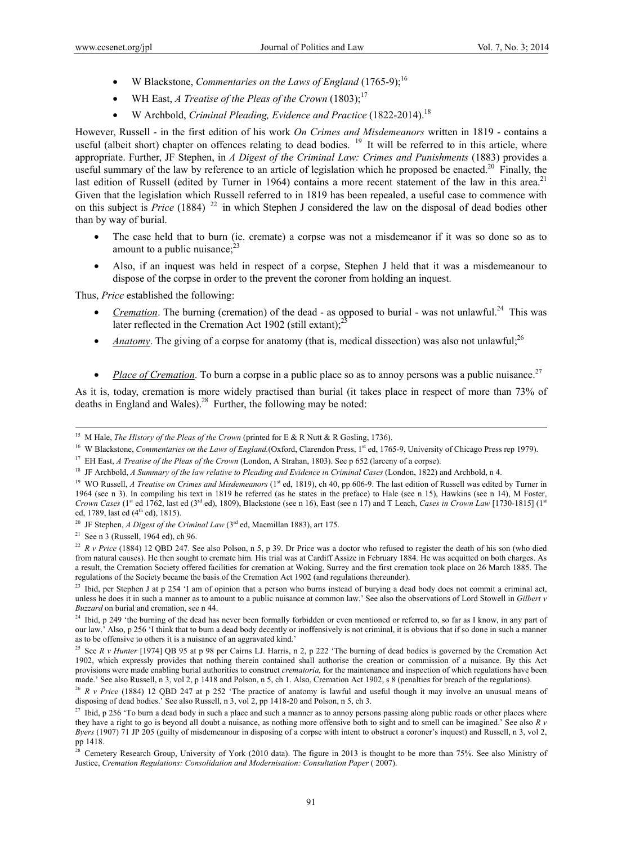- W Blackstone, *Commentaries on the Laws of England* (1765-9);<sup>16</sup>
- WH East, *A Treatise of the Pleas of the Crown* (1803):<sup>17</sup>
- W Archbold, *Criminal Pleading, Evidence and Practice* (1822-2014).18

However, Russell - in the first edition of his work *On Crimes and Misdemeanors* written in 1819 - contains a useful (albeit short) chapter on offences relating to dead bodies. <sup>19</sup> It will be referred to in this article, where appropriate. Further, JF Stephen, in *A Digest of the Criminal Law: Crimes and Punishments* (1883) provides a useful summary of the law by reference to an article of legislation which he proposed be enacted.<sup>20</sup> Finally, the last edition of Russell (edited by Turner in 1964) contains a more recent statement of the law in this area.<sup>21</sup> Given that the legislation which Russell referred to in 1819 has been repealed, a useful case to commence with on this subject is *Price* (1884)<sup>22</sup> in which Stephen J considered the law on the disposal of dead bodies other than by way of burial.

- The case held that to burn (ie. cremate) a corpse was not a misdemeanor if it was so done so as to amount to a public nuisance; $\hat{z}$
- Also, if an inquest was held in respect of a corpse, Stephen J held that it was a misdemeanour to dispose of the corpse in order to the prevent the coroner from holding an inquest.

Thus, *Price* established the following:

- *Cremation*. The burning (cremation) of the dead as opposed to burial was not unlawful.<sup>24</sup> This was later reflected in the Cremation Act 1902 (still extant);<sup>2</sup>
- *Anatomy*. The giving of a corpse for anatomy (that is, medical dissection) was also not unlawful;<sup>26</sup>
- *Place of Cremation*. To burn a corpse in a public place so as to annoy persons was a public nuisance.<sup>27</sup>

As it is, today, cremation is more widely practised than burial (it takes place in respect of more than 73% of deaths in England and Wales).<sup>28</sup> Further, the following may be noted:

<sup>&</sup>lt;sup>15</sup> M Hale, *The History of the Pleas of the Crown* (printed for E & R Nutt & R Gosling, 1736).<br><sup>16</sup> W Blackstone, *Commentaries on the Laws of England*.(Oxford, Clarendon Press, 1<sup>st</sup> ed, 1765-9, University of Chicago P

<sup>1964 (</sup>see n 3). In compiling his text in 1819 he referred (as he states in the preface) to Hale (see n 15), Hawkins (see n 14), M Foster, *Crown Cases* ( $1^{\text{st}}$  ed 1762, last ed ( $3^{\text{rd}}$  ed), 1809), Blackstone (see n 16), East (see n 17) and T Leach, *Cases in Crown Law* [1730-1815] ( $1^{\text{st}}$  ed, 1789, last ed ( $4^{\text{th}}$  ed), 1815).

<sup>&</sup>lt;sup>20</sup> JF Stephen, *A Digest of the Criminal Law* (3<sup>rd</sup> ed, Macmillan 1883), art 175.<br><sup>21</sup> See n 3 (Russell, 1964 ed), ch 96.

<sup>&</sup>lt;sup>22</sup> *R v Price* (1884) 12 QBD 247. See also Polson, n 5, p 39. Dr Price was a doctor who refused to register the death of his son (who died from natural causes). He then sought to cremate him. His trial was at Cardiff Assize in February 1884. He was acquitted on both charges. As a result, the Cremation Society offered facilities for cremation at Woking, Surrey and the first cremation took place on 26 March 1885. The regulations of the Society became the basis of the Cremation Act 1902 (and regulations thereunder).<br><sup>23</sup> Ibid, per Stephen J at p 254 'I am of opinion that a person who burns instead of burying a dead body does not commit

unless he does it in such a manner as to amount to a public nuisance at common law.' See also the observations of Lord Stowell in *Gilbert v Buzzard* on burial and cremation, see n 44.

<sup>&</sup>lt;sup>24</sup> Ibid, p 249 'the burning of the dead has never been formally forbidden or even mentioned or referred to, so far as I know, in any part of our law.<sup>5</sup> Also, p 256 'I think that to burn a dead body decently or inoffensively is not criminal, it is obvious that if so done in such a manner as to be offensive to others it is a nuisance of an aggravated kind.'

<sup>&</sup>lt;sup>25</sup> See *R v Hunter* [1974] QB 95 at p 98 per Cairns LJ. Harris, n 2, p 222 'The burning of dead bodies is governed by the Cremation Act 1902, which expressly provides that nothing therein contained shall authorise the creation or commission of a nuisance. By this Act provisions were made enabling burial authorities to construct *crematoria*, for the maintenance and inspection of which regulations have been made.' See also Russell, n 3, vol 2, p 1418 and Polson, n 5, ch 1. Also, Cremati

<sup>&</sup>lt;sup>26</sup> R v Price (1884) 12 QBD 247 at p 252 'The practice of anatomy is lawful and useful though it may involve an unusual means of disposing of dead bodies.' See also Russell, n 3, vol 2, pp 1418-20 and Polson, n 5, ch 3.

<sup>&</sup>lt;sup>27</sup> Ibid, p 256 'To burn a dead body in such a place and such a manner as to annoy persons passing along public roads or other places where they have a right to go is beyond all doubt a nuisance, as nothing more offensive both to sight and to smell can be imagined.' See also *R v Byers* (1907) 71 JP 205 (guilty of misdemeanour in disposing of a corpse with intent to obstruct a coroner's inquest) and Russell, n 3, vol 2, pp 1418.

<sup>&</sup>lt;sup>28</sup> Cemetery Research Group, University of York (2010 data). The figure in 2013 is thought to be more than 75%. See also Ministry of Justice, *Cremation Regulations: Consolidation and Modernisation: Consultation Paper* (2007).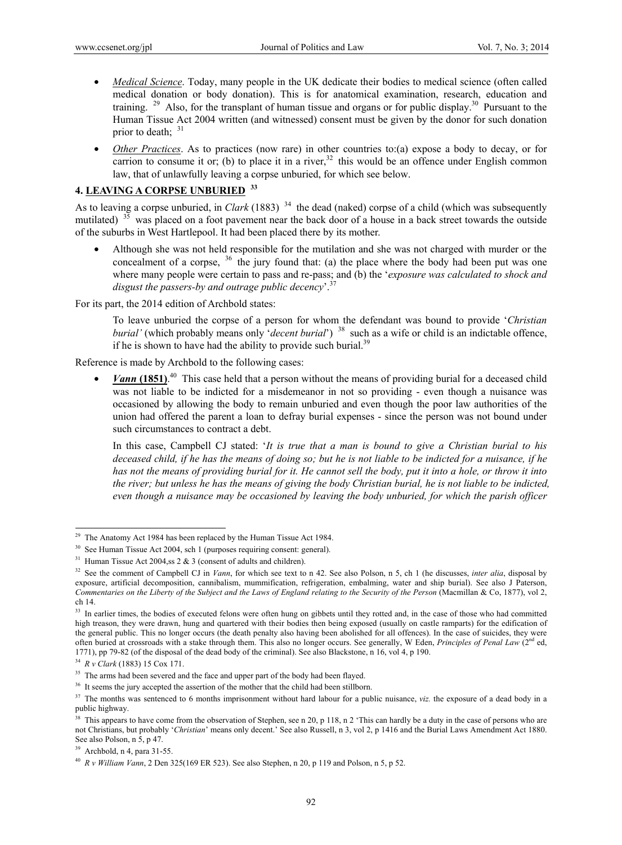- *Medical Science*. Today, many people in the UK dedicate their bodies to medical science (often called medical donation or body donation). This is for anatomical examination, research, education and training. <sup>29</sup> Also, for the transplant of human tissue and organs or for public display.<sup>30</sup> Pursuant to the Human Tissue Act 2004 written (and witnessed) consent must be given by the donor for such donation prior to death;  $31$
- *Other Practices*. As to practices (now rare) in other countries to:(a) expose a body to decay, or for carrion to consume it or; (b) to place it in a river,  $32$  this would be an offence under English common law, that of unlawfully leaving a corpse unburied, for which see below.

## **4. LEAVING A CORPSE UNBURIED <sup>33</sup>**

As to leaving a corpse unburied, in *Clark* (1883)<sup>34</sup> the dead (naked) corpse of a child (which was subsequently mutilated)  $35$  was placed on a foot pavement near the back door of a house in a back street towards the outside of the suburbs in West Hartlepool. It had been placed there by its mother.

• Although she was not held responsible for the mutilation and she was not charged with murder or the concealment of a corpse, <sup>36</sup> the jury found that: (a) the place where the body had been put was one where many people were certain to pass and re-pass; and (b) the '*exposure was calculated to shock and disgust the passers-by and outrage public decency*'.37

For its part, the 2014 edition of Archbold states:

To leave unburied the corpse of a person for whom the defendant was bound to provide '*Christian burial'* (which probably means only '*decent burial*') 38 such as a wife or child is an indictable offence, if he is shown to have had the ability to provide such burial. $3<sup>9</sup>$ 

Reference is made by Archbold to the following cases:

• *Vann* (1851).<sup>40</sup> This case held that a person without the means of providing burial for a deceased child was not liable to be indicted for a misdemeanor in not so providing - even though a nuisance was occasioned by allowing the body to remain unburied and even though the poor law authorities of the union had offered the parent a loan to defray burial expenses - since the person was not bound under such circumstances to contract a debt.

In this case, Campbell CJ stated: '*It is true that a man is bound to give a Christian burial to his deceased child, if he has the means of doing so; but he is not liable to be indicted for a nuisance, if he has not the means of providing burial for it. He cannot sell the body, put it into a hole, or throw it into the river; but unless he has the means of giving the body Christian burial, he is not liable to be indicted, even though a nuisance may be occasioned by leaving the body unburied, for which the parish officer* 

 $29$  The Anatomy Act 1984 has been replaced by the Human Tissue Act 1984.

<sup>&</sup>lt;sup>30</sup> See Human Tissue Act 2004, sch 1 (purposes requiring consent: general).

<sup>&</sup>lt;sup>31</sup> Human Tissue Act 2004,ss 2  $\&$  3 (consent of adults and children).

<sup>&</sup>lt;sup>32</sup> See the comment of Campbell CJ in *Vann*, for which see text to n 42. See also Polson, n 5, ch 1 (he discusses, *inter alia*, disposal by exposure, artificial decomposition, cannibalism, mummification, refrigeration, embalming, water and ship burial). See also J Paterson, *Commentaries on the Liberty of the Subject and the Laws of England relating to the Security of the Person* (Macmillan & Co, 1877), vol 2, ch 14.

<sup>&</sup>lt;sup>33</sup> In earlier times, the bodies of executed felons were often hung on gibbets until they rotted and, in the case of those who had committed high treason, they were drawn, hung and quartered with their bodies then being exposed (usually on castle ramparts) for the edification of the general public. This no longer occurs (the death penalty also having been abolished for all offences). In the case of suicides, they were often buried at crossroads with a stake through them. This also no longer occurs. See generally, W Eden, *Principles of Penal Law* (2<sup>nd</sup> ed, 1771), pp 79-82 (of the disposal of the dead body of the criminal). See also Bla

<sup>&</sup>lt;sup>34</sup>  $R v$  Clark (1883) 15 Cox 171.<br><sup>35</sup> The arms had been severed and the face and upper part of the body had been flayed.

 $36$  It seems the jury accepted the assertion of the mother that the child had been stillborn.<br><sup>37</sup> The months was sentenced to 6 months imprisonment without hard labour for a public nuisance, *viz*. the exposure of a dea public highway.

<sup>&</sup>lt;sup>38</sup> This appears to have come from the observation of Stephen, see n 20, p 118, n 2 'This can hardly be a duty in the case of persons who are not Christians, but probably '*Christian*' means only decent.' See also Russell, n 3, vol 2, p 1416 and the Burial Laws Amendment Act 1880. See also Polson, n 5, p 47.

 $39$  Archbold, n 4, para 31-55.

<sup>40</sup> *R v William Vann*, 2 Den 325(169 ER 523). See also Stephen, n 20, p 119 and Polson, n 5, p 52.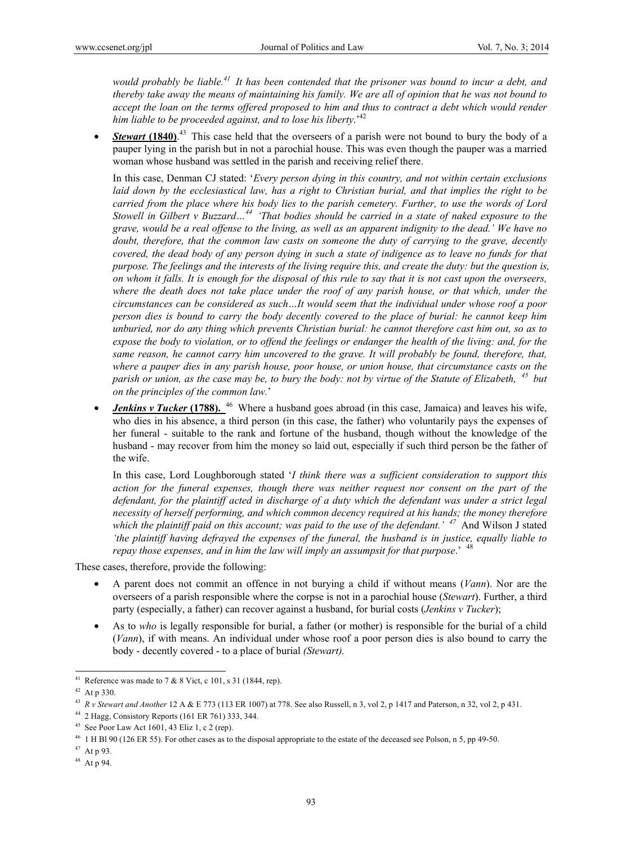*would probably be liable.41 It has been contended that the prisoner was bound to incur a debt, and thereby take away the means of maintaining his family. We are all of opinion that he was not bound to accept the loan on the terms offered proposed to him and thus to contract a debt which would render him liable to be proceeded against, and to lose his liberty*.'42

• *Stewart* (1840).<sup>43</sup> This case held that the overseers of a parish were not bound to bury the body of a pauper lying in the parish but in not a parochial house. This was even though the pauper was a married woman whose husband was settled in the parish and receiving relief there.

In this case, Denman CJ stated: '*Every person dying in this country, and not within certain exclusions laid down by the ecclesiastical law, has a right to Christian burial, and that implies the right to be carried from the place where his body lies to the parish cemetery. Further, to use the words of Lord Stowell in Gilbert v Buzzard…44 'That bodies should be carried in a state of naked exposure to the grave, would be a real offense to the living, as well as an apparent indignity to the dead.' We have no doubt, therefore, that the common law casts on someone the duty of carrying to the grave, decently covered, the dead body of any person dying in such a state of indigence as to leave no funds for that purpose. The feelings and the interests of the living require this, and create the duty: but the question is, on whom it falls. It is enough for the disposal of this rule to say that it is not cast upon the overseers, where the death does not take place under the roof of any parish house, or that which, under the circumstances can be considered as such…It would seem that the individual under whose roof a poor person dies is bound to carry the body decently covered to the place of burial: he cannot keep him unburied, nor do any thing which prevents Christian burial: he cannot therefore cast him out, so as to expose the body to violation, or to offend the feelings or endanger the health of the living: and, for the same reason, he cannot carry him uncovered to the grave. It will probably be found, therefore, that, where a pauper dies in any parish house, poor house, or union house, that circumstance casts on the parish or union, as the case may be, to bury the body: not by virtue of the Statute of Elizabeth,* <sup>45</sup> *but on the principles of the common law.*'

*Jenkins v Tucker* (1788). <sup>46</sup> Where a husband goes abroad (in this case, Jamaica) and leaves his wife, who dies in his absence, a third person (in this case, the father) who voluntarily pays the expenses of her funeral - suitable to the rank and fortune of the husband, though without the knowledge of the husband - may recover from him the money so laid out, especially if such third person be the father of the wife.

In this case, Lord Loughborough stated '*I think there was a sufficient consideration to support this action for the funeral expenses, though there was neither request nor consent on the part of the defendant, for the plaintiff acted in discharge of a duty which the defendant was under a strict legal necessity of herself performing, and which common decency required at his hands; the money therefore which the plaintiff paid on this account; was paid to the use of the defendant.' <sup>47</sup> And Wilson J stated 'the plaintiff having defrayed the expenses of the funeral, the husband is in justice, equally liable to repay those expenses, and in him the law will imply an assumpsit for that purpose.*' <sup>4</sup>

These cases, therefore, provide the following:

- A parent does not commit an offence in not burying a child if without means (*Vann*). Nor are the overseers of a parish responsible where the corpse is not in a parochial house (*Stewart*). Further, a third party (especially, a father) can recover against a husband, for burial costs (*Jenkins v Tucker*);
- As to *who* is legally responsible for burial, a father (or mother) is responsible for the burial of a child (*Vann*), if with means. An individual under whose roof a poor person dies is also bound to carry the body - decently covered - to a place of burial *(Stewart).*

<sup>&</sup>lt;sup>41</sup> Reference was made to 7 & 8 Vict, c 101, s 31 (1844, rep).

 $42$  At p 330.

<sup>43</sup> *R v Stewart and Another* 12 A & E 773 (113 ER 1007) at 778. See also Russell, n 3, vol 2, p 1417 and Paterson, n 32, vol 2, p 431. 44 2 Hagg, Consistory Reports (161 ER 761) 333, 344.

<sup>45</sup> See Poor Law Act 1601, 43 Eliz 1, c 2 (rep).

<sup>&</sup>lt;sup>46</sup> 1 H Bl 90 (126 ER 55). For other cases as to the disposal appropriate to the estate of the deceased see Polson, n 5, pp 49-50.

<sup>47</sup> At p 93.

<sup>48</sup> At p 94.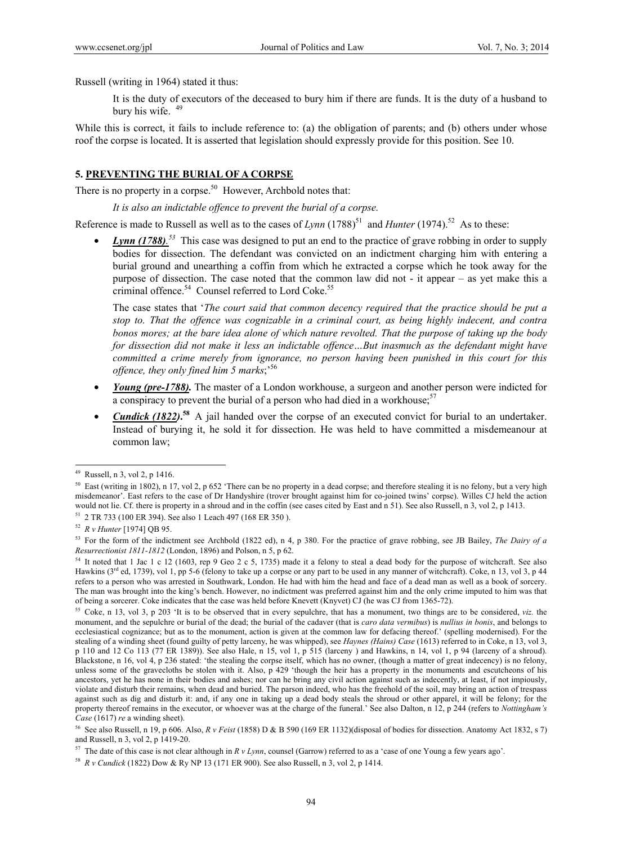Russell (writing in 1964) stated it thus:

It is the duty of executors of the deceased to bury him if there are funds. It is the duty of a husband to bury his wife.  $49$ 

While this is correct, it fails to include reference to: (a) the obligation of parents; and (b) others under whose roof the corpse is located. It is asserted that legislation should expressly provide for this position. See 10.

# **5. PREVENTING THE BURIAL OF A CORPSE**

There is no property in a corpse.<sup>50</sup> However, Archbold notes that:

*It is also an indictable offence to prevent the burial of a corpse.* 

Reference is made to Russell as well as to the cases of *Lynn* (1788)<sup>51</sup> and *Hunter* (1974).<sup>52</sup> As to these:

• *Lynn (1788)*<sup>53</sup> This case was designed to put an end to the practice of grave robbing in order to supply bodies for dissection. The defendant was convicted on an indictment charging him with entering a burial ground and unearthing a coffin from which he extracted a corpse which he took away for the purpose of dissection. The case noted that the common law did not - it appear – as yet make this a criminal offence.<sup>54</sup> Counsel referred to Lord Coke.<sup>55</sup>

The case states that '*The court said that common decency required that the practice should be put a stop to. That the offence was cognizable in a criminal court, as being highly indecent, and contra bonos mores; at the bare idea alone of which nature revolted. That the purpose of taking up the body for dissection did not make it less an indictable offence…But inasmuch as the defendant might have committed a crime merely from ignorance, no person having been punished in this court for this offence, they only fined him 5 marks;*<sup>56</sup>

- *Young (pre-1788)*. The master of a London workhouse, a surgeon and another person were indicted for a conspiracy to prevent the burial of a person who had died in a workhouse;<sup>57</sup>
- *Cundick (1822)*<sup>58</sup> A jail handed over the corpse of an executed convict for burial to an undertaker. Instead of burying it, he sold it for dissection. He was held to have committed a misdemeanour at common law;

 $49$  Russell, n 3, vol 2, n 1416.

<sup>&</sup>lt;sup>50</sup> East (writing in 1802), n 17, vol 2, p 652 'There can be no property in a dead corpse; and therefore stealing it is no felony, but a very high misdemeanor'. East refers to the case of Dr Handyshire (trover brought against him for co-joined twins' corpse). Willes CJ held the action

would not lie. Cf. there is property in a shroud and in the coffin (see cases cited by East and n 51). See also Russell, n 3, vol 2, p 1413.<br><sup>51</sup> 2 TR 733 (100 ER 394). See also 1 Leach 497 (168 ER 350).<br><sup>52</sup> R v Hunter [

<sup>&</sup>lt;sup>54</sup> It noted that 1 Jac 1 c 12 (1603, rep 9 Geo 2 c 5, 1735) made it a felony to steal a dead body for the purpose of witchcraft. See also Hawkins (3<sup>rd</sup> ed, 1739), vol 1, pp 5-6 (felony to take up a corpse or any part to be used in any manner of witchcraft). Coke, n 13, vol 3, p 44 refers to a person who was arrested in Southwark, London. He had with him the head and face of a dead man as well as a book of sorcery. The man was brought into the king's bench. However, no indictment was preferred against him and the only crime imputed to him was that of being a sorcerer. Coke indicates that the case was held before Knevett (Knyvet) CJ (

<sup>&</sup>lt;sup>55</sup> Coke, n 13, vol 3, p 203 'It is to be observed that in every sepulchre, that has a monument, two things are to be considered, viz. the monument, and the sepulchre or burial of the dead; the burial of the cadaver (that is *caro data vermibus*) is *nullius in bonis*, and belongs to ecclesiastical cognizance; but as to the monument, action is given at the common law for defacing thereof.' (spelling modernised). For the stealing of a winding sheet (found guilty of petty larceny, he was whipped), see *Haynes (Hains) Case* (1613) referred to in Coke, n 13, vol 3, p 110 and 12 Co 113 (77 ER 1389)). See also Hale, n 15, vol 1, p 515 (larceny ) and Hawkins, n 14, vol 1, p 94 (larceny of a shroud). Blackstone, n 16, vol 4, p 236 stated: 'the stealing the corpse itself, which has no owner, (though a matter of great indecency) is no felony, unless some of the gravecloths be stolen with it. Also, p 429 'though the heir has a property in the monuments and escutcheons of his ancestors, yet he has none in their bodies and ashes; nor can he bring any civil action against such as indecently, at least, if not impiously, violate and disturb their remains, when dead and buried. The parson indeed, who has the freehold of the soil, may bring an action of trespass against such as dig and disturb it: and, if any one in taking up a dead body steals the shroud or other apparel, it will be felony; for the property thereof remains in the executor, or whoever was at the charge of the funeral.' See also Dalton, n 12, p 244 (refers to *Nottingham's Case* (1617) *re* a winding sheet).<br><sup>56</sup> See also Russell, n 19, p 606. Also, *R v Feist* (1858) D & B 590 (169 ER 1132)(disposal of bodies for dissection. Anatomy Act 1832, s 7)

and Russell, n 3, vol 2, p 1419-20.

<sup>&</sup>lt;sup>57</sup> The date of this case is not clear although in *R v Lynn*, counsel (Garrow) referred to as a 'case of one Young a few years ago'.<br><sup>58</sup> *R v Cundick* (1822) Dow & Ry NP 13 (171 ER 900). See also Russell, n 3, vol 2, p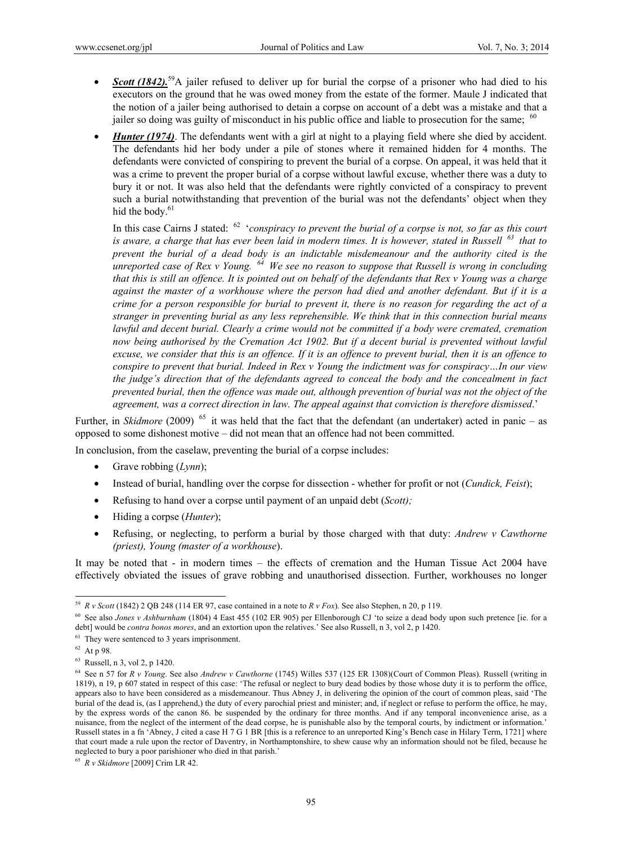- *Scott* (1842).<sup>59</sup>A jailer refused to deliver up for burial the corpse of a prisoner who had died to his executors on the ground that he was owed money from the estate of the former. Maule J indicated that the notion of a jailer being authorised to detain a corpse on account of a debt was a mistake and that a jailer so doing was guilty of misconduct in his public office and liable to prosecution for the same; <sup>60</sup>
- *Hunter (1974)*. The defendants went with a girl at night to a playing field where she died by accident. The defendants hid her body under a pile of stones where it remained hidden for 4 months. The defendants were convicted of conspiring to prevent the burial of a corpse. On appeal, it was held that it was a crime to prevent the proper burial of a corpse without lawful excuse, whether there was a duty to bury it or not. It was also held that the defendants were rightly convicted of a conspiracy to prevent such a burial notwithstanding that prevention of the burial was not the defendants' object when they hid the body. $61$

In this case Cairns J stated: <sup>62</sup> '*conspiracy to prevent the burial of a corpse is not, so far as this court is aware, a charge that has ever been laid in modern times. It is however, stated in Russell 63 that to prevent the burial of a dead body is an indictable misdemeanour and the authority cited is the unreported case of Rex v Young. 64 We see no reason to suppose that Russell is wrong in concluding that this is still an offence. It is pointed out on behalf of the defendants that Rex v Young was a charge against the master of a workhouse where the person had died and another defendant. But if it is a crime for a person responsible for burial to prevent it, there is no reason for regarding the act of a stranger in preventing burial as any less reprehensible. We think that in this connection burial means lawful and decent burial. Clearly a crime would not be committed if a body were cremated, cremation now being authorised by the Cremation Act 1902. But if a decent burial is prevented without lawful excuse, we consider that this is an offence. If it is an offence to prevent burial, then it is an offence to conspire to prevent that burial. Indeed in Rex v Young the indictment was for conspiracy…In our view the judge's direction that of the defendants agreed to conceal the body and the concealment in fact prevented burial, then the offence was made out, although prevention of burial was not the object of the agreement, was a correct direction in law. The appeal against that conviction is therefore dismissed*.'

Further, in *Skidmore* (2009)<sup>65</sup> it was held that the fact that the defendant (an undertaker) acted in panic – as opposed to some dishonest motive – did not mean that an offence had not been committed.

In conclusion, from the caselaw, preventing the burial of a corpse includes:

- Grave robbing (*Lynn*);
- Instead of burial, handling over the corpse for dissection whether for profit or not (*Cundick, Feist*);
- Refusing to hand over a corpse until payment of an unpaid debt (*Scott);*
- Hiding a corpse (*Hunter*);
- Refusing, or neglecting, to perform a burial by those charged with that duty: *Andrew v Cawthorne (priest), Young (master of a workhouse*).

It may be noted that - in modern times – the effects of cremation and the Human Tissue Act 2004 have effectively obviated the issues of grave robbing and unauthorised dissection. Further, workhouses no longer

<sup>&</sup>lt;sup>59</sup> R v Scott (1842) 2 QB 248 (114 ER 97, case contained in a note to R v Fox). See also Stephen, n 20, p 119.

<sup>&</sup>lt;sup>60</sup> See also *Jones v Ashburnham* (1804) 4 East 455 (102 ER 905) per Ellenborough CJ 'to seize a dead body upon such pretence [ie. for a debt] would be *contra bonos mores*, and an extortion upon the relatives.' See also Russell, n 3, vol 2, p 1420. <sup>61</sup> They were sentenced to 3 years imprisonment.

<sup>62</sup> At p 98.

<sup>63</sup> Russell, n 3, vol 2, p 1420.

<sup>&</sup>lt;sup>64</sup> See n 57 for *R v Young*. See also *Andrew v Cawthorne* (1745) Willes 537 (125 ER 1308)(Court of Common Pleas). Russell (writing in 1819), n 19, p 607 stated in respect of this case: 'The refusal or neglect to bury dead bodies by those whose duty it is to perform the office, appears also to have been considered as a misdemeanour. Thus Abney J, in delivering the opinion of the court of common pleas, said 'The burial of the dead is, (as I apprehend,) the duty of every parochial priest and minister; and, if neglect or refuse to perform the office, he may, by the express words of the canon 86. be suspended by the ordinary for three months. And if any temporal inconvenience arise, as a nuisance, from the neglect of the interment of the dead corpse, he is punishable also by the temporal courts, by indictment or information.' Russell states in a fn 'Abney, J cited a case H 7 G 1 BR [this is a reference to an unreported King's Bench case in Hilary Term, 1721] where that court made a rule upon the rector of Daventry, in Northamptonshire, to shew cause why an information should not be filed, because he neglected to bury a poor parishioner who died in that parish.' 65 *R v Skidmore* [2009] Crim LR 42.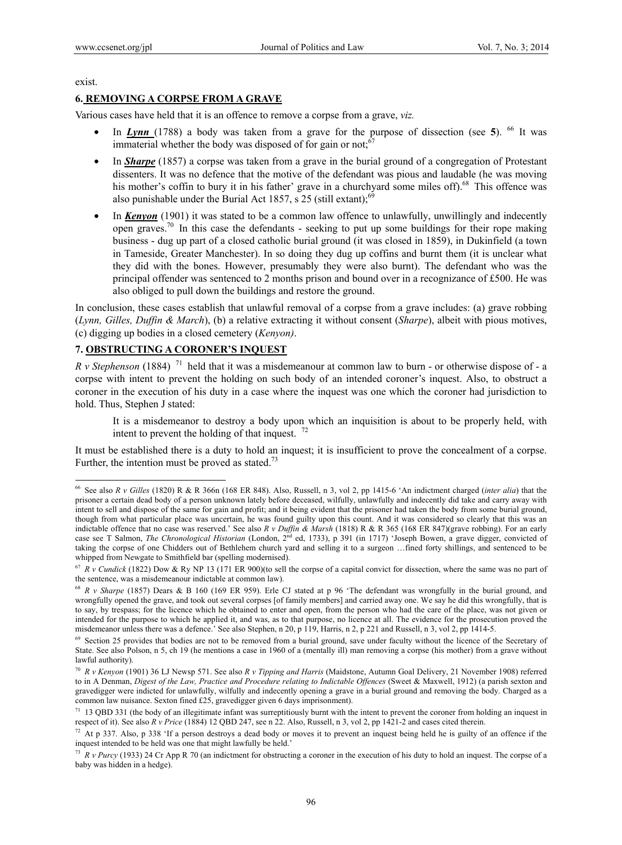exist.

 $\overline{a}$ 

#### **6. REMOVING A CORPSE FROM A GRAVE**

Various cases have held that it is an offence to remove a corpse from a grave, *viz.*

- In *Lynn* (1788) a body was taken from a grave for the purpose of dissection (see 5). <sup>66</sup> It was immaterial whether the body was disposed of for gain or not;  $\frac{67}{67}$
- In *Sharpe* (1857) a corpse was taken from a grave in the burial ground of a congregation of Protestant dissenters. It was no defence that the motive of the defendant was pious and laudable (he was moving his mother's coffin to bury it in his father' grave in a churchyard some miles off).<sup>68</sup> This offence was also punishable under the Burial Act 1857, s  $25$  (still extant);<sup>69</sup>
- In *Kenyon* (1901) it was stated to be a common law offence to unlawfully, unwillingly and indecently open graves.<sup>70</sup> In this case the defendants - seeking to put up some buildings for their rope making business - dug up part of a closed catholic burial ground (it was closed in 1859), in Dukinfield (a town in Tameside, Greater Manchester). In so doing they dug up coffins and burnt them (it is unclear what they did with the bones. However, presumably they were also burnt). The defendant who was the principal offender was sentenced to 2 months prison and bound over in a recognizance of £500. He was also obliged to pull down the buildings and restore the ground.

In conclusion, these cases establish that unlawful removal of a corpse from a grave includes: (a) grave robbing (*Lynn, Gilles, Duffin & March*), (b) a relative extracting it without consent (*Sharpe*), albeit with pious motives, (c) digging up bodies in a closed cemetery (*Kenyon)*.

## **7. OBSTRUCTING A CORONER'S INQUEST**

*R v Stephenson* (1884)<sup>71</sup> held that it was a misdemeanour at common law to burn - or otherwise dispose of - a corpse with intent to prevent the holding on such body of an intended coroner's inquest. Also, to obstruct a coroner in the execution of his duty in a case where the inquest was one which the coroner had jurisdiction to hold. Thus, Stephen J stated:

It is a misdemeanor to destroy a body upon which an inquisition is about to be properly held, with intent to prevent the holding of that inquest.  $^{72}$ 

It must be established there is a duty to hold an inquest; it is insufficient to prove the concealment of a corpse. Further, the intention must be proved as stated.<sup>73</sup>

<sup>66</sup> See also *R v Gilles* (1820) R & R 366n (168 ER 848). Also, Russell, n 3, vol 2, pp 1415-6 'An indictment charged (*inter alia*) that the prisoner a certain dead body of a person unknown lately before deceased, wilfully, unlawfully and indecently did take and carry away with intent to sell and dispose of the same for gain and profit; and it being evident that the prisoner had taken the body from some burial ground, though from what particular place was uncertain, he was found guilty upon this count. And it was considered so clearly that this was an indictable offence that no case was reserved.' See also *R v Duffin & Marsh* (1818) R & R 365 (168 ER 847)(grave robbing). For an early case see T Salmon, *The Chronological Historian* (London, 2<sup>nd</sup> ed, 1733), p 391 (in 1717) 'Joseph Bowen, a grave digger, convicted of taking the corpse of one Chidders out of Bethlehem church yard and selling it to a surgeon …fined forty shillings, and sentenced to be whipped from Newgate to Smithfield bar (spelling modernised).

<sup>&</sup>lt;sup>67</sup> *R v Cundick* (1822) Dow & Ry NP 13 (171 ER 900)(to sell the corpse of a capital convict for dissection, where the same was no part of the sentence, was a misdemeanour indictable at common law).

<sup>68</sup> *R v Sharpe* (1857) Dears & B 160 (169 ER 959). Erle CJ stated at p 96 'The defendant was wrongfully in the burial ground, and wrongfully opened the grave, and took out several corpses [of family members] and carried away one. We say he did this wrongfully, that is to say, by trespass; for the licence which he obtained to enter and open, from the person who had the care of the place, was not given or intended for the purpose to which he applied it, and was, as to that purpose, no licence at all. The evidence for the prosecution proved the misdemeanor unless there was a defence.' See also Stephen, n 20, p 119, Harris, n

<sup>&</sup>lt;sup>69</sup> Section 25 provides that bodies are not to be removed from a burial ground, save under faculty without the licence of the Secretary of State. See also Polson, n 5, ch 19 (he mentions a case in 1960 of a (mentally ill) man removing a corpse (his mother) from a grave without lawful authority).

<sup>70</sup> *R v Kenyon* (1901) 36 LJ Newsp 571. See also *R v Tipping and Harris* (Maidstone, Autumn Goal Delivery, 21 November 1908) referred to in A Denman, *Digest of the Law, Practice and Procedure relating to Indictable Offences* (Sweet & Maxwell, 1912) (a parish sexton and gravedigger were indicted for unlawfully, wilfully and indecently opening a grave in a burial ground and removing the body. Charged as a

common law nuisance. Sexton fined £25, gravedigger given 6 days imprisonment).<br><sup>71</sup> 13 QBD 331 (the body of an illegitimate infant was surreptitiously burnt with the intent to prevent the coroner from holding an inquest i

 $72$  At p 337. Also, p 338 'If a person destroys a dead body or moves it to prevent an inquest being held he is guilty of an offence if the inquest intended to be held was one that might lawfully be held.'<br><sup>73</sup> *R v Purcy* (1933) 24 Cr App R 70 (an indictment for obstructing a coroner in the execution of his duty to hold an inquest. The corpse of a

baby was hidden in a hedge).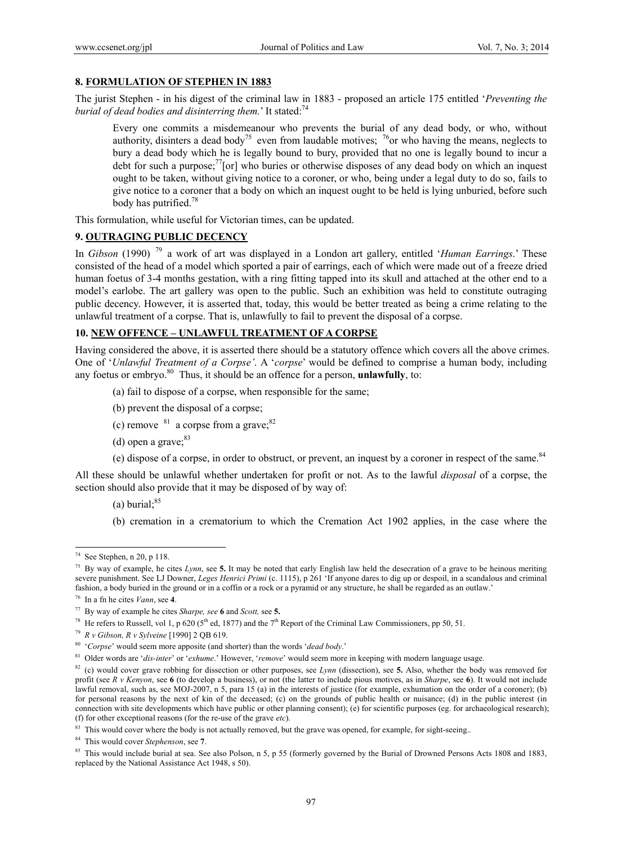#### **8. FORMULATION OF STEPHEN IN 1883**

The jurist Stephen - in his digest of the criminal law in 1883 - proposed an article 175 entitled '*Preventing the burial of dead bodies and disinterring them.*' It stated:<sup>74</sup>

Every one commits a misdemeanour who prevents the burial of any dead body, or who, without authority, disinters a dead body<sup>75</sup> even from laudable motives; <sup>76</sup>or who having the means, neglects to bury a dead body which he is legally bound to bury, provided that no one is legally bound to incur a debt for such a purpose;<sup>77</sup>[or] who buries or otherwise disposes of any dead body on which an inquest ought to be taken, without giving notice to a coroner, or who, being under a legal duty to do so, fails to give notice to a coroner that a body on which an inquest ought to be held is lying unburied, before such body has putrified.<sup>78</sup>

This formulation, while useful for Victorian times, can be updated.

## **9. OUTRAGING PUBLIC DECENCY**

In *Gibson* (1990) 79 a work of art was displayed in a London art gallery, entitled '*Human Earrings*.' These consisted of the head of a model which sported a pair of earrings, each of which were made out of a freeze dried human foetus of 3-4 months gestation, with a ring fitting tapped into its skull and attached at the other end to a model's earlobe. The art gallery was open to the public. Such an exhibition was held to constitute outraging public decency. However, it is asserted that, today, this would be better treated as being a crime relating to the unlawful treatment of a corpse. That is, unlawfully to fail to prevent the disposal of a corpse.

# **10. NEW OFFENCE – UNLAWFUL TREATMENT OF A CORPSE**

Having considered the above, it is asserted there should be a statutory offence which covers all the above crimes. One of '*Unlawful Treatment of a Corpse'*. A '*corpse*' would be defined to comprise a human body, including any foetus or embryo.80 Thus, it should be an offence for a person, **unlawfully**, to:

(a) fail to dispose of a corpse, when responsible for the same;

- (b) prevent the disposal of a corpse;
- (c) remove  $81$  a corpse from a grave;  $82$
- (d) open a grave; $83$
- (e) dispose of a corpse, in order to obstruct, or prevent, an inquest by a coroner in respect of the same.84

All these should be unlawful whether undertaken for profit or not. As to the lawful *disposal* of a corpse, the section should also provide that it may be disposed of by way of:

- $(a)$  burial: $85$
- (b) cremation in a crematorium to which the Cremation Act 1902 applies, in the case where the

<sup>74</sup> See Stephen, n 20, p 118.

<sup>&</sup>lt;sup>75</sup> By way of example, he cites *Lynn*, see **5.** It may be noted that early English law held the desecration of a grave to be heinous meriting severe punishment. See LJ Downer, *Leges Henrici Primi* (c. 1115), p 261 'If anyone dares to dig up or despoil, in a scandalous and criminal fashion, a body buried in the ground or in a coffin or a rock or a pyramid or any structure, he shall be regarded as an outlaw.<sup>76</sup> In a fin he cites *Vann*, see 4.<br><sup>76</sup> In a fin he cites *Vann*, see 4.<br><sup>77</sup> By way of exa

<sup>&</sup>lt;sup>78</sup> He refers to Russell, vol 1, p 620 (5<sup>th</sup> ed, 1877) and the 7<sup>th</sup> Report of the Criminal Law Commissioners, pp 50, 51.<br><sup>79</sup> R v Gibson, R v Sylveine [1990] 2 QB 619.<br><sup>80</sup> 'Corpse' would seem more apposite (and shorte

profit (see *R v Kenyon*, see **6** (to develop a business), or not (the latter to include pious motives, as in *Sharpe*, see **6**). It would not include lawful removal, such as, see MOJ-2007, n 5, para 15 (a) in the interests of justice (for example, exhumation on the order of a coroner); (b) for personal reasons by the next of kin of the deceased; (c) on the grounds of public health or nuisance; (d) in the public interest (in connection with site developments which have public or other planning consent); (e) for scientific purposes (eg. for archaeological research); (f) for other exceptional reasons (for the re-use of the grave *etc*).

<sup>&</sup>lt;sup>83</sup> This would cover where the body is not actually removed, but the grave was opened, for example, for sight-seeing..<br><sup>84</sup> This would cover *Stephenson*, see 7.<br><sup>85</sup> This would include burial at sea. See also Polson, n replaced by the National Assistance Act 1948, s 50).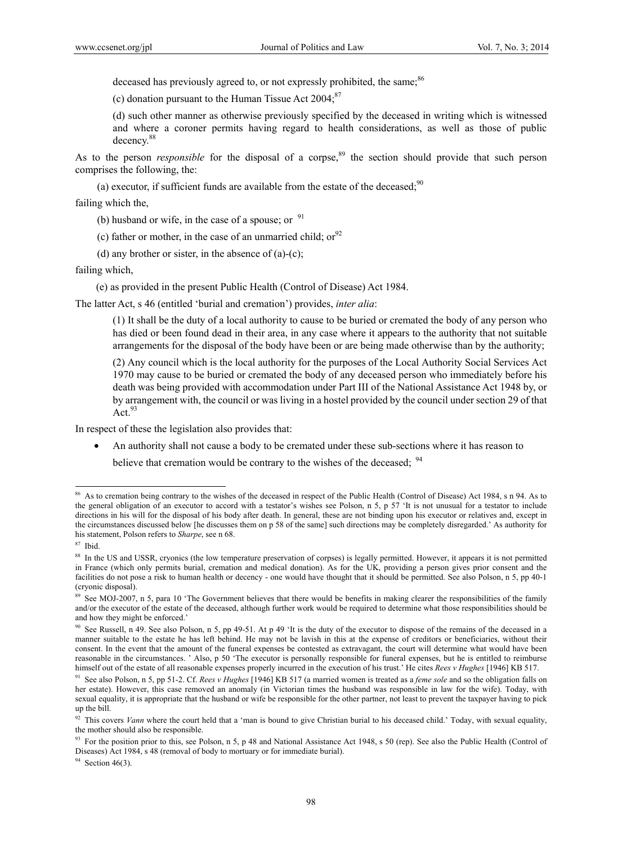deceased has previously agreed to, or not expressly prohibited, the same; $86$ 

(c) donation pursuant to the Human Tissue Act  $2004$ ;<sup>87</sup>

(d) such other manner as otherwise previously specified by the deceased in writing which is witnessed and where a coroner permits having regard to health considerations, as well as those of public decency.88

As to the person *responsible* for the disposal of a corpse,<sup>89</sup> the section should provide that such person comprises the following, the:

(a) executor, if sufficient funds are available from the estate of the deceased; $90$ 

failing which the,

(b) husband or wife, in the case of a spouse; or  $91$ 

(c) father or mother, in the case of an unmarried child;  $or<sup>92</sup>$ 

(d) any brother or sister, in the absence of  $(a)-(c)$ ;

failing which,

(e) as provided in the present Public Health (Control of Disease) Act 1984.

The latter Act, s 46 (entitled 'burial and cremation') provides, *inter alia*:

(1) It shall be the duty of a local authority to cause to be buried or cremated the body of any person who has died or been found dead in their area, in any case where it appears to the authority that not suitable arrangements for the disposal of the body have been or are being made otherwise than by the authority;

(2) Any council which is the local authority for the purposes of the Local Authority Social Services Act 1970 may cause to be buried or cremated the body of any deceased person who immediately before his death was being provided with accommodation under Part III of the National Assistance Act 1948 by, or by arrangement with, the council or was living in a hostel provided by the council under section 29 of that Act  $93$ 

In respect of these the legislation also provides that:

• An authority shall not cause a body to be cremated under these sub-sections where it has reason to

believe that cremation would be contrary to the wishes of the deceased;  $94$ 

 $\overline{a}$ 

 $94$  Section 46(3).

<sup>&</sup>lt;sup>86</sup> As to cremation being contrary to the wishes of the deceased in respect of the Public Health (Control of Disease) Act 1984, s n 94. As to the general obligation of an executor to accord with a testator's wishes see Polson, n 5, p 57 'It is not unusual for a testator to include directions in his will for the disposal of his body after death. In general, these are not binding upon his executor or relatives and, except in the circumstances discussed below [he discusses them on p 58 of the same] such directions may be completely disregarded.' As authority for his statement, Polson refers to *Sharpe*, see n 68.<br><sup>87</sup> Ibid.

<sup>88</sup> In the US and USSR, cryonics (the low temperature preservation of corpses) is legally permitted. However, it appears it is not permitted in France (which only permits burial, cremation and medical donation). As for the UK, providing a person gives prior consent and the facilities do not pose a risk to human health or decency - one would have thought that it should be permitted. See also Polson, n 5, pp 40-1 (cryonic disposal).

<sup>&</sup>lt;sup>89</sup> See MOJ-2007, n 5, para 10 'The Government believes that there would be benefits in making clearer the responsibilities of the family and/or the executor of the estate of the deceased, although further work would be required to determine what those responsibilities should be and how they might be enforced.'

<sup>&</sup>lt;sup>90</sup> See Russell, n 49. See also Polson, n 5, pp 49-51. At p 49 'It is the duty of the executor to dispose of the remains of the deceased in a manner suitable to the estate he has left behind. He may not be lavish in this at the expense of creditors or beneficiaries, without their consent. In the event that the amount of the funeral expenses be contested as extravagant, the court will determine what would have been reasonable in the circumstances. ' Also, p 50 'The executor is personally responsible for funeral expenses, but he is entitled to reimburse himself out of the estate of all reasonable expenses properly incurred in the execution of his trust.' He cites *Rees v Hughes* [1946] KB 517.<br><sup>91</sup> See also Polson, n 5, pp 51-2. Cf. *Rees v Hughes* [1946] KB 517 (a marrie

her estate). However, this case removed an anomaly (in Victorian times the husband was responsible in law for the wife). Today, with sexual equality, it is appropriate that the husband or wife be responsible for the other partner, not least to prevent the taxpayer having to pick up the bill.

<sup>&</sup>lt;sup>92</sup> This covers *Vann* where the court held that a 'man is bound to give Christian burial to his deceased child.' Today, with sexual equality, the mother should also be responsible.

<sup>&</sup>lt;sup>93</sup> For the position prior to this, see Polson, n 5, p 48 and National Assistance Act 1948, s 50 (rep). See also the Public Health (Control of Diseases) Act 1984, s 48 (removal of body to mortuary or for immediate burial).